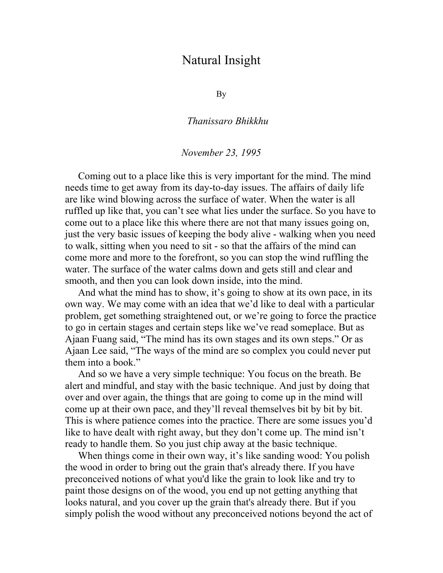## Natural Insight

By

*Thanissaro Bhikkhu* 

## *November 23, 1995*

Coming out to a place like this is very important for the mind. The mind needs time to get away from its day-to-day issues. The affairs of daily life are like wind blowing across the surface of water. When the water is all ruffled up like that, you can't see what lies under the surface. So you have to come out to a place like this where there are not that many issues going on, just the very basic issues of keeping the body alive - walking when you need to walk, sitting when you need to sit - so that the affairs of the mind can come more and more to the forefront, so you can stop the wind ruffling the water. The surface of the water calms down and gets still and clear and smooth, and then you can look down inside, into the mind.

And what the mind has to show, it's going to show at its own pace, in its own way. We may come with an idea that we'd like to deal with a particular problem, get something straightened out, or we're going to force the practice to go in certain stages and certain steps like we've read someplace. But as Ajaan Fuang said, "The mind has its own stages and its own steps." Or as Ajaan Lee said, "The ways of the mind are so complex you could never put them into a book."

And so we have a very simple technique: You focus on the breath. Be alert and mindful, and stay with the basic technique. And just by doing that over and over again, the things that are going to come up in the mind will come up at their own pace, and they'll reveal themselves bit by bit by bit. This is where patience comes into the practice. There are some issues you'd like to have dealt with right away, but they don't come up. The mind isn't ready to handle them. So you just chip away at the basic technique.

When things come in their own way, it's like sanding wood: You polish the wood in order to bring out the grain that's already there. If you have preconceived notions of what you'd like the grain to look like and try to paint those designs on of the wood, you end up not getting anything that looks natural, and you cover up the grain that's already there. But if you simply polish the wood without any preconceived notions beyond the act of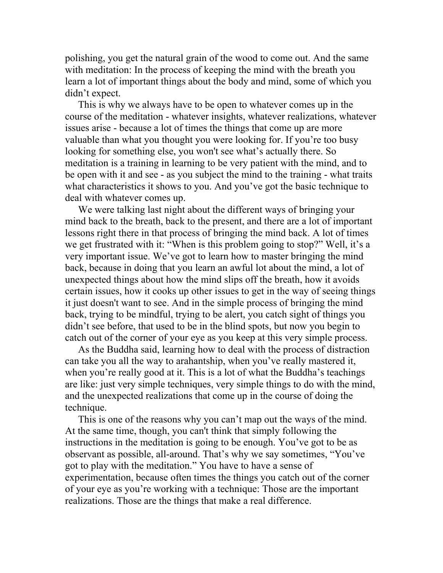polishing, you get the natural grain of the wood to come out. And the same with meditation: In the process of keeping the mind with the breath you learn a lot of important things about the body and mind, some of which you didn't expect.

This is why we always have to be open to whatever comes up in the course of the meditation - whatever insights, whatever realizations, whatever issues arise - because a lot of times the things that come up are more valuable than what you thought you were looking for. If you're too busy looking for something else, you won't see what's actually there. So meditation is a training in learning to be very patient with the mind, and to be open with it and see - as you subject the mind to the training - what traits what characteristics it shows to you. And you've got the basic technique to deal with whatever comes up.

We were talking last night about the different ways of bringing your mind back to the breath, back to the present, and there are a lot of important lessons right there in that process of bringing the mind back. A lot of times we get frustrated with it: "When is this problem going to stop?" Well, it's a very important issue. We've got to learn how to master bringing the mind back, because in doing that you learn an awful lot about the mind, a lot of unexpected things about how the mind slips off the breath, how it avoids certain issues, how it cooks up other issues to get in the way of seeing things it just doesn't want to see. And in the simple process of bringing the mind back, trying to be mindful, trying to be alert, you catch sight of things you didn't see before, that used to be in the blind spots, but now you begin to catch out of the corner of your eye as you keep at this very simple process.

As the Buddha said, learning how to deal with the process of distraction can take you all the way to arahantship, when you've really mastered it, when you're really good at it. This is a lot of what the Buddha's teachings are like: just very simple techniques, very simple things to do with the mind, and the unexpected realizations that come up in the course of doing the technique.

This is one of the reasons why you can't map out the ways of the mind. At the same time, though, you can't think that simply following the instructions in the meditation is going to be enough. You've got to be as observant as possible, all-around. That's why we say sometimes, "You've got to play with the meditation." You have to have a sense of experimentation, because often times the things you catch out of the corner of your eye as you're working with a technique: Those are the important realizations. Those are the things that make a real difference.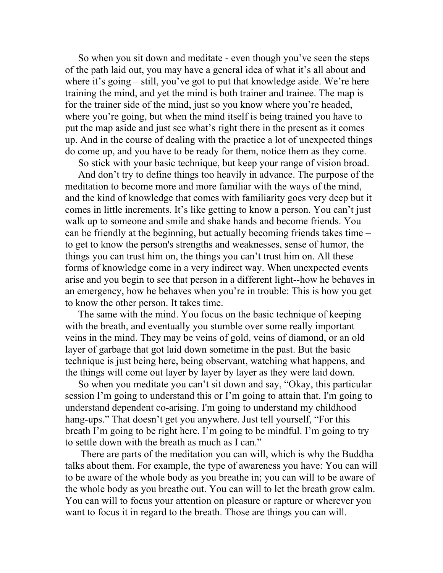So when you sit down and meditate - even though you've seen the steps of the path laid out, you may have a general idea of what it's all about and where it's going – still, you've got to put that knowledge aside. We're here training the mind, and yet the mind is both trainer and trainee. The map is for the trainer side of the mind, just so you know where you're headed, where you're going, but when the mind itself is being trained you have to put the map aside and just see what's right there in the present as it comes up. And in the course of dealing with the practice a lot of unexpected things do come up, and you have to be ready for them, notice them as they come.

So stick with your basic technique, but keep your range of vision broad. And don't try to define things too heavily in advance. The purpose of the meditation to become more and more familiar with the ways of the mind, and the kind of knowledge that comes with familiarity goes very deep but it comes in little increments. It's like getting to know a person. You can't just walk up to someone and smile and shake hands and become friends. You can be friendly at the beginning, but actually becoming friends takes time – to get to know the person's strengths and weaknesses, sense of humor, the things you can trust him on, the things you can't trust him on. All these forms of knowledge come in a very indirect way. When unexpected events arise and you begin to see that person in a different light--how he behaves in an emergency, how he behaves when you're in trouble: This is how you get to know the other person. It takes time.

The same with the mind. You focus on the basic technique of keeping with the breath, and eventually you stumble over some really important veins in the mind. They may be veins of gold, veins of diamond, or an old layer of garbage that got laid down sometime in the past. But the basic technique is just being here, being observant, watching what happens, and the things will come out layer by layer by layer as they were laid down.

So when you meditate you can't sit down and say, "Okay, this particular session I'm going to understand this or I'm going to attain that. I'm going to understand dependent co-arising. I'm going to understand my childhood hang-ups." That doesn't get you anywhere. Just tell yourself, "For this breath I'm going to be right here. I'm going to be mindful. I'm going to try to settle down with the breath as much as I can."

 There are parts of the meditation you can will, which is why the Buddha talks about them. For example, the type of awareness you have: You can will to be aware of the whole body as you breathe in; you can will to be aware of the whole body as you breathe out. You can will to let the breath grow calm. You can will to focus your attention on pleasure or rapture or wherever you want to focus it in regard to the breath. Those are things you can will.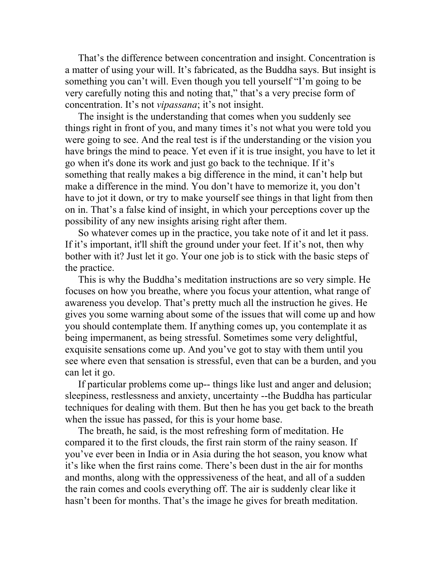That's the difference between concentration and insight. Concentration is a matter of using your will. It's fabricated, as the Buddha says. But insight is something you can't will. Even though you tell yourself "I'm going to be very carefully noting this and noting that," that's a very precise form of concentration. It's not *vipassana*; it's not insight.

The insight is the understanding that comes when you suddenly see things right in front of you, and many times it's not what you were told you were going to see. And the real test is if the understanding or the vision you have brings the mind to peace. Yet even if it is true insight, you have to let it go when it's done its work and just go back to the technique. If it's something that really makes a big difference in the mind, it can't help but make a difference in the mind. You don't have to memorize it, you don't have to jot it down, or try to make yourself see things in that light from then on in. That's a false kind of insight, in which your perceptions cover up the possibility of any new insights arising right after them.

So whatever comes up in the practice, you take note of it and let it pass. If it's important, it'll shift the ground under your feet. If it's not, then why bother with it? Just let it go. Your one job is to stick with the basic steps of the practice.

This is why the Buddha's meditation instructions are so very simple. He focuses on how you breathe, where you focus your attention, what range of awareness you develop. That's pretty much all the instruction he gives. He gives you some warning about some of the issues that will come up and how you should contemplate them. If anything comes up, you contemplate it as being impermanent, as being stressful. Sometimes some very delightful, exquisite sensations come up. And you've got to stay with them until you see where even that sensation is stressful, even that can be a burden, and you can let it go.

If particular problems come up-- things like lust and anger and delusion; sleepiness, restlessness and anxiety, uncertainty --the Buddha has particular techniques for dealing with them. But then he has you get back to the breath when the issue has passed, for this is your home base.

The breath, he said, is the most refreshing form of meditation. He compared it to the first clouds, the first rain storm of the rainy season. If you've ever been in India or in Asia during the hot season, you know what it's like when the first rains come. There's been dust in the air for months and months, along with the oppressiveness of the heat, and all of a sudden the rain comes and cools everything off. The air is suddenly clear like it hasn't been for months. That's the image he gives for breath meditation.